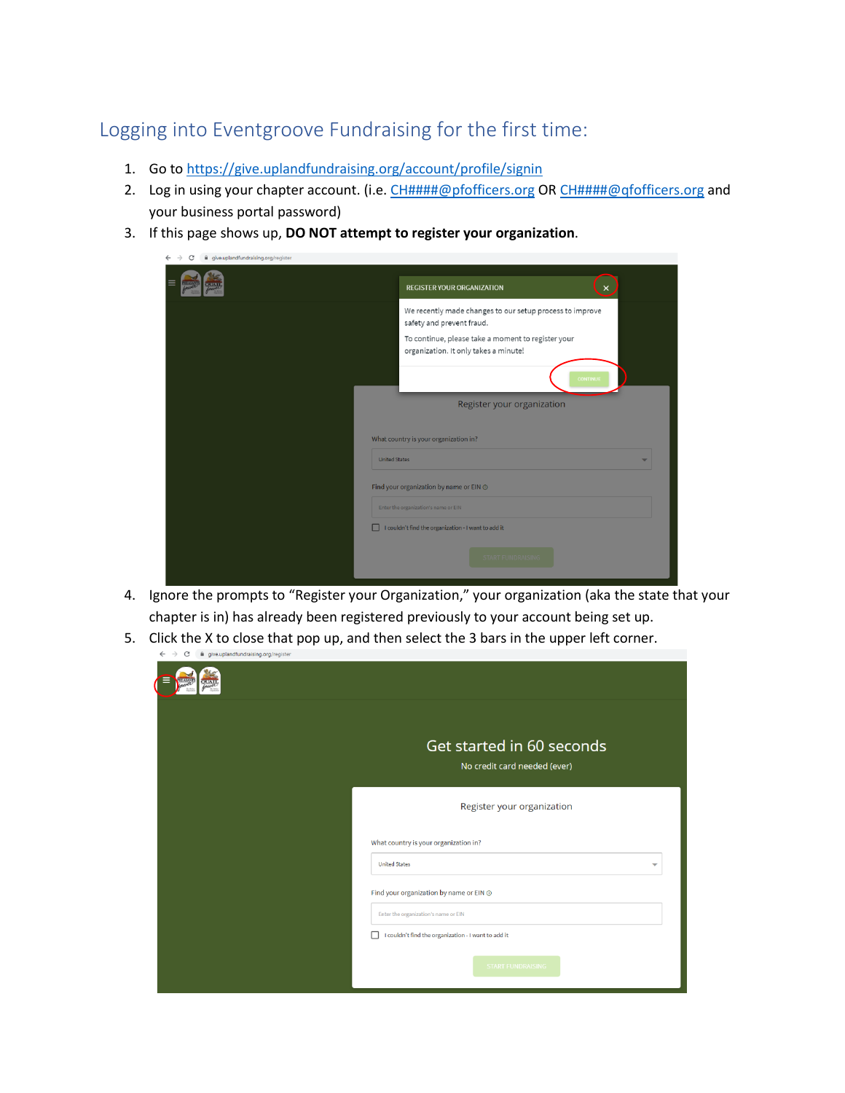## Logging into Eventgroove Fundraising for the first time:

- 1. Go to<https://give.uplandfundraising.org/account/profile/signin>
- 2. Log in using your chapter account. (i.e. [CH####@pfofficers.org](mailto:CH####@pfofficers.org) OR [CH####@qfofficers.org](mailto:CH####@qfofficers.org) and your business portal password)
- 3. If this page shows up, **DO NOT attempt to register your organization**.

| give.uplandfundraising.org/register |                                                                                             |
|-------------------------------------|---------------------------------------------------------------------------------------------|
|                                     | <b>REGISTER YOUR ORGANIZATION</b><br>×                                                      |
|                                     | We recently made changes to our setup process to improve<br>safety and prevent fraud.       |
|                                     | To continue, please take a moment to register your<br>organization. It only takes a minute! |
|                                     | <b>CONTINUE</b>                                                                             |
|                                     | Register your organization                                                                  |
| <b>United States</b>                | What country is your organization in?                                                       |
|                                     | Find your organization by name or EIN @                                                     |
|                                     | Enter the organization's name or EIN                                                        |
|                                     | I couldn't find the organization - I want to add it                                         |
|                                     | <b>START FUNDRAISING</b>                                                                    |

- 4. Ignore the prompts to "Register your Organization," your organization (aka the state that your chapter is in) has already been registered previously to your account being set up.
- 5. Click the X to close that pop up, and then select the 3 bars in the upper left corner.

| Get started in 60 seconds<br>No credit card needed (ever) |  |  |  |
|-----------------------------------------------------------|--|--|--|
| Register your organization                                |  |  |  |
| What country is your organization in?                     |  |  |  |
| <b>United States</b><br>$\overline{\phantom{0}}$          |  |  |  |
| Find your organization by name or EIN @                   |  |  |  |
| Enter the organization's name or EIN                      |  |  |  |
| I couldn't find the organization - I want to add it       |  |  |  |
| <b>START FUNDRAISING</b>                                  |  |  |  |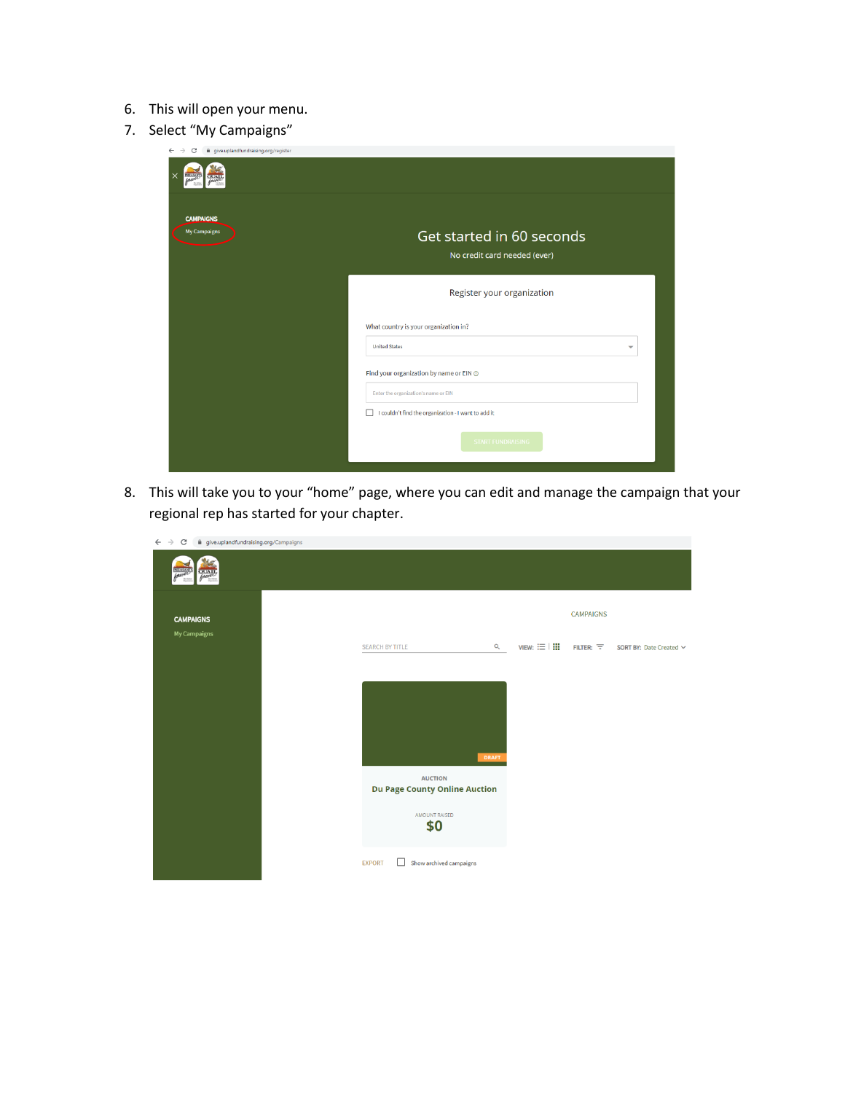- 6. This will open your menu.
- 7. Select "My Campaigns"

| give.uplandfundraising.org/register<br>C |                                                           |  |  |  |  |
|------------------------------------------|-----------------------------------------------------------|--|--|--|--|
|                                          |                                                           |  |  |  |  |
| <b>CAMPAIGNS</b><br><b>My Campaigns</b>  | Get started in 60 seconds<br>No credit card needed (ever) |  |  |  |  |
|                                          | Register your organization                                |  |  |  |  |
|                                          | What country is your organization in?                     |  |  |  |  |
|                                          | <b>United States</b><br>$\overline{\phantom{a}}$          |  |  |  |  |
|                                          | Find your organization by name or EIN @                   |  |  |  |  |
|                                          | Enter the organization's name or EIN                      |  |  |  |  |
|                                          | I couldn't find the organization - I want to add it<br>□  |  |  |  |  |
|                                          | <b>START FUNDRAISING</b>                                  |  |  |  |  |

8. This will take you to your "home" page, where you can edit and manage the campaign that your regional rep has started for your chapter.

| $\leftarrow$ $\rightarrow$<br>C<br>give.uplandfundraising.org/Campaigns |                                                                                |              |                        |                  |                         |  |  |
|-------------------------------------------------------------------------|--------------------------------------------------------------------------------|--------------|------------------------|------------------|-------------------------|--|--|
| PHEASA                                                                  |                                                                                |              |                        |                  |                         |  |  |
| <b>CAMPAIGNS</b><br>My Campaigns                                        |                                                                                |              |                        |                  | <b>CAMPAIGNS</b>        |  |  |
|                                                                         | <b>SEARCH BY TITLE</b>                                                         | Q            | $VIEW: \equiv \square$ | FILTER: $\equiv$ | SORT BY: Date Created V |  |  |
|                                                                         | <b>AUCTION</b><br><b>Du Page County Online Auction</b><br>AMOUNT RAISED<br>\$0 | <b>DRAFT</b> |                        |                  |                         |  |  |
|                                                                         | Show archived campaigns<br><b>EXPORT</b><br>$\mathbf{L}$                       |              |                        |                  |                         |  |  |